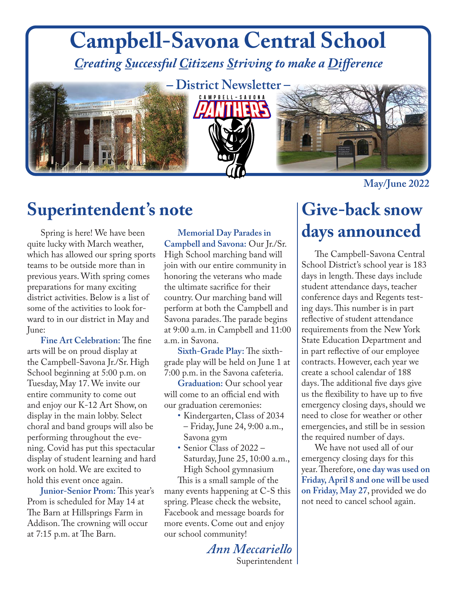#### **Campbell-Savona Central School** *Creating Successful Citizens Striving to make a Difference*



# *–* **District Newsletter –** CAMPBELL-SAVONA



#### **May/June 2022**

### **Superintendent's note**

Spring is here! We have been quite lucky with March weather, which has allowed our spring sports teams to be outside more than in previous years. With spring comes preparations for many exciting district activities. Below is a list of some of the activities to look forward to in our district in May and June:

**Fine Art Celebration:** The fine arts will be on proud display at the Campbell-Savona Jr./Sr. High School beginning at 5:00 p.m. on Tuesday, May 17. We invite our entire community to come out and enjoy our K-12 Art Show, on display in the main lobby. Select choral and band groups will also be performing throughout the evening. Covid has put this spectacular display of student learning and hard work on hold. We are excited to hold this event once again.

**Junior-Senior Prom:** This year's Prom is scheduled for May 14 at The Barn at Hillsprings Farm in Addison. The crowning will occur at 7:15 p.m. at The Barn.

**Memorial Day Parades in Campbell and Savona:** Our Jr./Sr. High School marching band will join with our entire community in honoring the veterans who made the ultimate sacrifice for their country. Our marching band will perform at both the Campbell and Savona parades. The parade begins at 9:00 a.m. in Campbell and 11:00 a.m. in Savona.

**Sixth-Grade Play:** The sixthgrade play will be held on June 1 at 7:00 p.m. in the Savona cafeteria.

**Graduation:** Our school year will come to an official end with our graduation ceremonies:

- Kindergarten, Class of 2034 – Friday, June 24, 9:00 a.m., Savona gym
- Senior Class of 2022 Saturday, June 25, 10:00 a.m., High School gymnasium

This is a small sample of the many events happening at C-S this spring. Please check the website, Facebook and message boards for more events. Come out and enjoy our school community!

### **Give-back snow days announced**

The Campbell-Savona Central School District's school year is 183 days in length. These days include student attendance days, teacher conference days and Regents testing days. This number is in part reflective of student attendance requirements from the New York State Education Department and in part reflective of our employee contracts. However, each year we create a school calendar of 188 days. The additional five days give us the flexibility to have up to five emergency closing days, should we need to close for weather or other emergencies, and still be in session the required number of days.

We have not used all of our emergency closing days for this year. Therefore, **one day was used on Friday, April 8 and one will be used on Friday, May 27**, provided we do not need to cancel school again.

*Ann Meccariello* Superintendent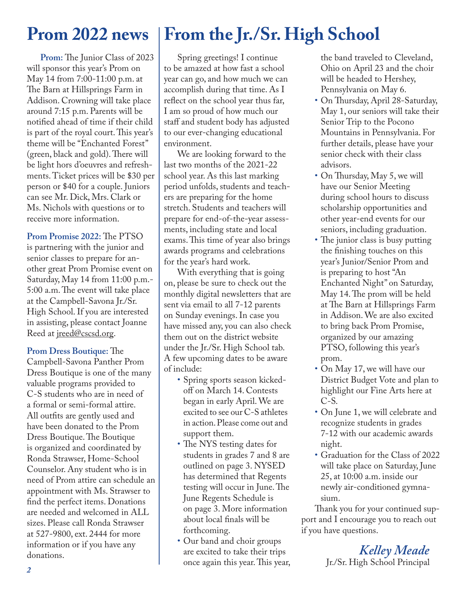#### **Prom 2022 news**

**Prom:** The Junior Class of 2023 will sponsor this year's Prom on May 14 from 7:00-11:00 p.m. at The Barn at Hillsprings Farm in Addison. Crowning will take place around 7:15 p.m. Parents will be notified ahead of time if their child is part of the royal court. This year's theme will be "Enchanted Forest" (green, black and gold). There will be light hors d'oeuvres and refreshments. Ticket prices will be \$30 per person or \$40 for a couple. Juniors can see Mr. Dick, Mrs. Clark or Ms. Nichols with questions or to receive more information.

**Prom Promise 2022:** The PTSO is partnering with the junior and senior classes to prepare for another great Prom Promise event on Saturday, May 14 from 11:00 p.m.- 5:00 a.m. The event will take place at the Campbell-Savona Jr./Sr. High School. If you are interested in assisting, please contact Joanne Reed at jreed@cscsd.org.

**Prom Dress Boutique:** The Campbell-Savona Panther Prom Dress Boutique is one of the many valuable programs provided to C-S students who are in need of a formal or semi-formal attire. All outfits are gently used and have been donated to the Prom Dress Boutique. The Boutique is organized and coordinated by Ronda Strawser, Home-School Counselor. Any student who is in need of Prom attire can schedule an appointment with Ms. Strawser to find the perfect items. Donations are needed and welcomed in ALL sizes. Please call Ronda Strawser at 527-9800, ext. 2444 for more information or if you have any donations.

### **From the Jr./Sr. High School**

Spring greetings! I continue to be amazed at how fast a school year can go, and how much we can accomplish during that time. As I reflect on the school year thus far, I am so proud of how much our staff and student body has adjusted to our ever-changing educational environment.

We are looking forward to the last two months of the 2021-22 school year. As this last marking period unfolds, students and teachers are preparing for the home stretch. Students and teachers will prepare for end-of-the-year assessments, including state and local exams. This time of year also brings awards programs and celebrations for the year's hard work.

With everything that is going on, please be sure to check out the monthly digital newsletters that are sent via email to all 7-12 parents on Sunday evenings. In case you have missed any, you can also check them out on the district website under the Jr./Sr. High School tab. A few upcoming dates to be aware of include:

- Spring sports season kicked off on March 14. Contests began in early April. We are excited to see our C-S athletes in action. Please come out and support them.
- The NYS testing dates for students in grades 7 and 8 are outlined on page 3. NYSED has determined that Regents testing will occur in June. The June Regents Schedule is on page 3. More information about local finals will be forthcoming.
- Our band and choir groups are excited to take their trips once again this year. This year,

 the band traveled to Cleveland, Ohio on April 23 and the choir will be headed to Hershey, Pennsylvania on May 6.

- On Thursday, April 28-Saturday, May 1, our seniors will take their Senior Trip to the Pocono Mountains in Pennsylvania. For further details, please have your senior check with their class advisors.
- On Thursday, May 5, we will have our Senior Meeting during school hours to discuss scholarship opportunities and other year-end events for our seniors, including graduation.
- The junior class is busy putting the finishing touches on this year's Junior/Senior Prom and is preparing to host "An Enchanted Night" on Saturday, May 14. The prom will be held at The Barn at Hillsprings Farm in Addison. We are also excited to bring back Prom Promise, organized by our amazing PTSO, following this year's prom.
- On May 17, we will have our District Budget Vote and plan to highlight our Fine Arts here at C-S.
- On June 1, we will celebrate and recognize students in grades 7-12 with our academic awards night.
- Graduation for the Class of 2022 will take place on Saturday, June 25, at 10:00 a.m. inside our newly air-conditioned gymna sium.

Thank you for your continued support and I encourage you to reach out if you have questions.

> *Kelley Meade* Jr./Sr. High School Principal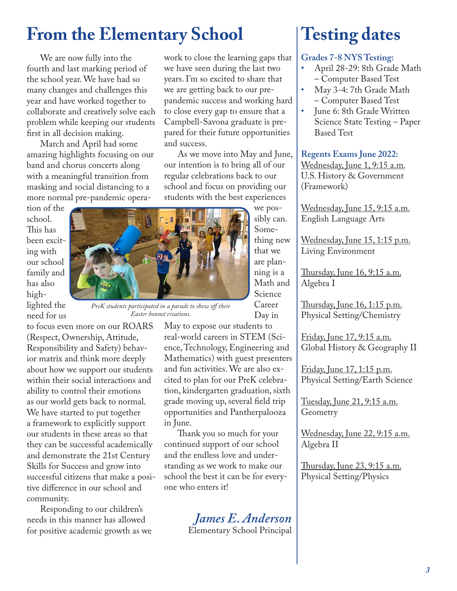### **From the Elementary School**

We are now fully into the fourth and last marking period of the school year. We have had so many changes and challenges this year and have worked together to collaborate and creatively solve each problem while keeping our students first in all decision making.

March and April had some amazing highlights focusing on our band and chorus concerts along with a meaningful transition from masking and social distancing to a more normal pre-pandemic opera-

tion of the school. This has been exciting with our school family and has also highlighted the need for us



*PreK students participated in a parade to show off their Easter bonnet creations.*

to focus even more on our ROARS (Respect, Ownership, Attitude, Responsibility and Safety) behavior matrix and think more deeply about how we support our students within their social interactions and ability to control their emotions as our world gets back to normal. We have started to put together a framework to explicitly support our students in these areas so that they can be successful academically and demonstrate the 21st Century Skills for Success and grow into successful citizens that make a positive difference in our school and community.

Responding to our children's needs in this manner has allowed for positive academic growth as we work to close the learning gaps that we have seen during the last two years. I'm so excited to share that we are getting back to our prepandemic success and working hard to close every gap to ensure that a Campbell-Savona graduate is prepared for their future opportunities and success.

As we move into May and June, our intention is to bring all of our regular celebrations back to our school and focus on providing our students with the best experiences

we possibly can. Something new that we are planning is a Math and Science Career Day in

May to expose our students to real-world careers in STEM (Science, Technology, Engineering and Mathematics) with guest presenters and fun activities. We are also excited to plan for our PreK celebration, kindergarten graduation, sixth grade moving up, several field trip opportunities and Pantherpalooza in June.

Thank you so much for your continued support of our school and the endless love and understanding as we work to make our school the best it can be for everyone who enters it!



### **Testing dates**

#### **Grades 7-8 NYS Testing:**

- April 28-29: 8th Grade Math – Computer Based Test
- May 3-4: 7th Grade Math – Computer Based Test
- June 6: 8th Grade Written Science State Testing – Paper Based Test

#### **Regents Exams June 2022:**

Wednesday, June 1, 9:15 a.m. U.S. History & Government (Framework)

Wednesday, June 15, 9:15 a.m. English Language Arts

Wednesday, June 15, 1:15 p.m. Living Environment

Thursday, June 16, 9:15 a.m. Algebra I

Thursday, June 16, 1:15 p.m. Physical Setting/Chemistry

Friday, June 17, 9:15 a.m. Global History & Geography II

Friday, June 17, 1:15 p.m. Physical Setting/Earth Science

Tuesday, June 21, 9:15 a.m. Geometry

Wednesday, June 22, 9:15 a.m. Algebra II

<u>Thursday, June 23, 9:15 a.m.</u> Physical Setting/Physics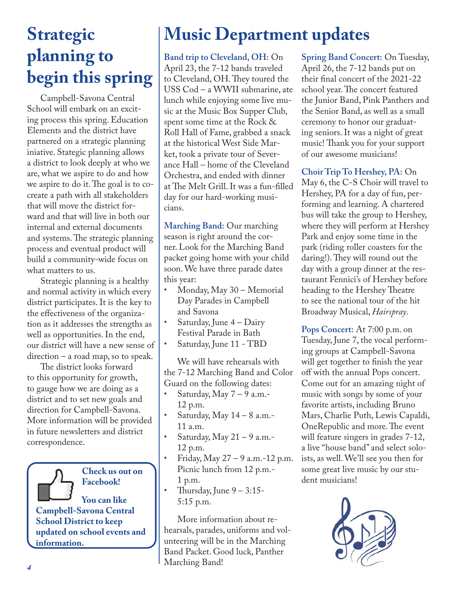### **Strategic planning to begin this spring**

Campbell-Savona Central School will embark on an exciting process this spring. Education Elements and the district have partnered on a strategic planning iniative. Stategic planning allows a district to look deeply at who we are, what we aspire to do and how we aspire to do it. The goal is to cocreate a path with all stakeholders that will move the district forward and that will live in both our internal and external documents and systems. The strategic planning process and eventual product will build a community-wide focus on what matters to us.

Strategic planning is a healthy and normal activity in which every district participates. It is the key to the effectiveness of the organization as it addresses the strengths as well as opportunities. In the end, our district will have a new sense of direction – a road map, so to speak.

The district looks forward to this opportunity for growth, to gauge how we are doing as a district and to set new goals and direction for Campbell-Savona. More information will be provided in future newsletters and district correspondence.

**Check us out on Facebook! You can like Campbell-Savona Central School District to keep updated on school events and information.** 

## **Music Department updates**

**Band trip to Cleveland, OH:** On April 23, the 7-12 bands traveled to Cleveland, OH. They toured the USS Cod – a WWII submarine, ate lunch while enjoying some live music at the Music Box Supper Club, spent some time at the Rock & Roll Hall of Fame, grabbed a snack at the historical West Side Market, took a private tour of Severance Hall – home of the Cleveland Orchestra, and ended with dinner at The Melt Grill. It was a fun-filled day for our hard-working musicians.

**Marching Band:** Our marching season is right around the corner. Look for the Marching Band packet going home with your child soon. We have three parade dates this year:

- Monday, May 30 Memorial Day Parades in Campbell and Savona
- Saturday, June 4 Dairy Festival Parade in Bath
- Saturday, June 11 TBD

We will have rehearsals with the 7-12 Marching Band and Color Guard on the following dates:

- Saturday, May  $7 9$  a.m.-12 p.m.
- Saturday, May 14 8 a.m.- 11 a.m.
- Saturday, May  $21 9$  a.m.-12 p.m.
- Friday, May 27 9 a.m.-12 p.m. Picnic lunch from 12 p.m.- 1 p.m.
- Thursday, June  $9 3:15$ -5:15 p.m.

More information about rehearsals, parades, uniforms and volunteering will be in the Marching Band Packet. Good luck, Panther Marching Band!

**Spring Band Concert:** On Tuesday, April 26, the 7-12 bands put on their final concert of the 2021-22 school year. The concert featured the Junior Band, Pink Panthers and the Senior Band, as well as a small ceremony to honor our graduating seniors. It was a night of great music! Thank you for your support of our awesome musicians!

**Choir Trip To Hershey, PA:** On

May 6, the C-S Choir will travel to Hershey, PA for a day of fun, performing and learning. A chartered bus will take the group to Hershey, where they will perform at Hershey Park and enjoy some time in the park (riding roller coasters for the daring!). They will round out the day with a group dinner at the restaurant Fennici's of Hershey before heading to the Hershey Theatre to see the national tour of the hit Broadway Musical, *Hairspray*.

**Pops Concert:** At 7:00 p.m. on Tuesday, June 7, the vocal performing groups at Campbell-Savona will get together to finish the year off with the annual Pops concert. Come out for an amazing night of music with songs by some of your favorite artists, including Bruno Mars, Charlie Puth, Lewis Capaldi, OneRepublic and more. The event will feature singers in grades 7-12, a live "house band" and select soloists, as well. We'll see you then for some great live music by our student musicians!

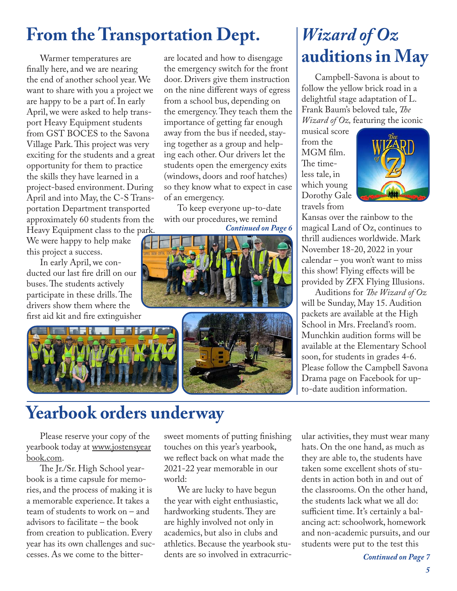### **From the Transportation Dept.**

Warmer temperatures are finally here, and we are nearing the end of another school year. We want to share with you a project we are happy to be a part of. In early April, we were asked to help transport Heavy Equipment students from GST BOCES to the Savona Village Park. This project was very exciting for the students and a great opportunity for them to practice the skills they have learned in a project-based environment. During April and into May, the C-S Transportation Department transported approximately 60 students from the Heavy Equipment class to the park.

We were happy to help make this project a success.

In early April, we conducted our last fire drill on our buses. The students actively participate in these drills. The drivers show them where the first aid kit and fire extinguisher



are located and how to disengage the emergency switch for the front door. Drivers give them instruction on the nine different ways of egress from a school bus, depending on the emergency. They teach them the importance of getting far enough away from the bus if needed, staying together as a group and helping each other. Our drivers let the students open the emergency exits (windows, doors and roof hatches) so they know what to expect in case of an emergency.

To keep everyone up-to-date with our procedures, we remind *Continued on Page 6*





### *Wizard of Oz*  **auditions in May**

Campbell-Savona is about to follow the yellow brick road in a delightful stage adaptation of L. Frank Baum's beloved tale, *The Wizard of Oz,* featuring the iconic

musical score from the MGM film. The timeless tale, in which young Dorothy Gale travels from



Kansas over the rainbow to the magical Land of Oz, continues to thrill audiences worldwide. Mark November 18-20, 2022 in your calendar – you won't want to miss this show! Flying effects will be provided by ZFX Flying Illusions.

Auditions for *The Wizard of Oz* will be Sunday, May 15. Audition packets are available at the High School in Mrs. Freeland's room. Munchkin audition forms will be available at the Elementary School soon, for students in grades 4-6. Please follow the Campbell Savona Drama page on Facebook for upto-date audition information.

### **Yearbook orders underway**

Please reserve your copy of the yearbook today at www.jostensyear book.com.

The Jr./Sr. High School yearbook is a time capsule for memories, and the process of making it is a memorable experience. It takes a team of students to work on – and advisors to facilitate – the book from creation to publication. Every year has its own challenges and successes. As we come to the bittersweet moments of putting finishing touches on this year's yearbook, we reflect back on what made the 2021-22 year memorable in our world:

We are lucky to have begun the year with eight enthusiastic, hardworking students. They are are highly involved not only in academics, but also in clubs and athletics. Because the yearbook students are so involved in extracurric- *Continued on Page 7*

ular activities, they must wear many hats. On the one hand, as much as they are able to, the students have taken some excellent shots of students in action both in and out of the classrooms. On the other hand, the students lack what we all do: sufficient time. It's certainly a balancing act: schoolwork, homework and non-academic pursuits, and our students were put to the test this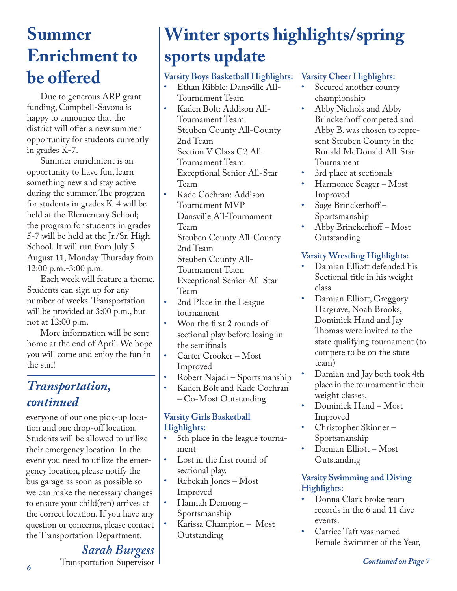### **Summer Enrichment to be offered**

Due to generous ARP grant funding, Campbell-Savona is happy to announce that the district will offer a new summer opportunity for students currently in grades K-7.

Summer enrichment is an opportunity to have fun, learn something new and stay active during the summer. The program for students in grades K-4 will be held at the Elementary School; the program for students in grades 5-7 will be held at the Jr./Sr. High School. It will run from July 5- August 11, Monday-Thursday from 12:00 p.m.-3:00 p.m.

Each week will feature a theme. Students can sign up for any number of weeks. Transportation will be provided at 3:00 p.m., but not at 12:00 p.m.

More information will be sent home at the end of April. We hope you will come and enjoy the fun in the sun!

#### *Transportation, continued*

everyone of our one pick-up location and one drop-off location. Students will be allowed to utilize their emergency location. In the event you need to utilize the emergency location, please notify the bus garage as soon as possible so we can make the necessary changes to ensure your child(ren) arrives at the correct location. If you have any question or concerns, please contact the Transportation Department.

> *Sarah Burgess* Transportation Supervisor

## **Winter sports highlights/spring sports update**

#### **Varsity Boys Basketball Highlights:**

- Ethan Ribble: Dansville All-Tournament Team
- Kaden Bolt: Addison All-Tournament Team Steuben County All-County 2nd Team Section V Class C2 All-Tournament Team Exceptional Senior All-Star Team
- Kade Cochran: Addison Tournament MVP Dansville All-Tournament Team Steuben County All-County 2nd Team Steuben County All-Tournament Team Exceptional Senior All-Star Team
- 2nd Place in the League tournament
- Won the first 2 rounds of sectional play before losing in the semifinals
- Carter Crooker Most Improved
- Robert Najadi Sportsmanship
- Kaden Bolt and Kade Cochran – Co-Most Outstanding

#### **Varsity Girls Basketball Highlights:**

- 5th place in the league tournament
- Lost in the first round of sectional play.
- Rebekah Jones Most Improved
- Hannah Demong Sportsmanship
- Karissa Champion Most Outstanding

#### **Varsity Cheer Highlights:**

- Secured another county championship
- Abby Nichols and Abby Brinckerhoff competed and Abby B. was chosen to represent Steuben County in the Ronald McDonald All-Star Tournament
- 3rd place at sectionals
- Harmonee Seager Most Improved
- Sage Brinckerhoff Sportsmanship
- Abby Brinckerhoff Most Outstanding

#### **Varsity Wrestling Highlights:**

- Damian Elliott defended his Sectional title in his weight class
- Damian Elliott, Greggory Hargrave, Noah Brooks, Dominick Hand and Jay Thomas were invited to the state qualifying tournament (to compete to be on the state team)
- Damian and Jay both took 4th place in the tournament in their weight classes.
- Dominick Hand Most Improved
- Christopher Skinner Sportsmanship
- Damian Elliott Most Outstanding

#### **Varsity Swimming and Diving Highlights:**

- Donna Clark broke team records in the 6 and 11 dive events.
- Catrice Taft was named Female Swimmer of the Year,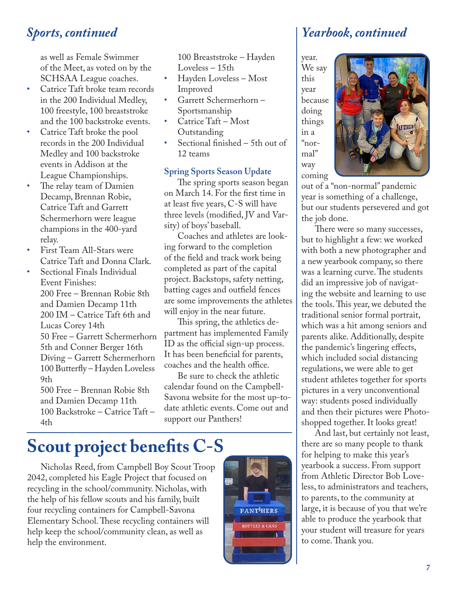as well as Female Swimmer of the Meet, as voted on by the SCHSAA League coaches.

- Catrice Taft broke team records in the 200 Individual Medley, 100 freestyle, 100 breaststroke and the 100 backstroke events.
- Catrice Taft broke the pool records in the 200 Individual Medley and 100 backstroke events in Addison at the League Championships.
- The relay team of Damien Decamp, Brennan Robie, Catrice Taft and Garrett Schermerhorn were league champions in the 400-yard relay.
- First Team All-Stars were Catrice Taft and Donna Clark.
- Sectional Finals Individual Event Finishes: 200 Free – Brennan Robie 8th and Damien Decamp 11th 200 IM – Catrice Taft 6th and Lucas Corey 14th 50 Free – Garrett Schermerhorn 5th and Conner Berger 16th Diving – Garrett Schermerhorn 100 Butterfly – Hayden Loveless 9th 500 Free – Brennan Robie 8th and Damien Decamp 11th

100 Backstroke – Catrice Taft – 4th

100 Breaststroke – Hayden Loveless – 15th

- Hayden Loveless Most Improved
- Garrett Schermerhorn Sportsmanship
- Catrice Taft Most Outstanding
- Sectional finished  $-5$ th out of 12 teams

#### **Spring Sports Season Update**

The spring sports season began on March 14. For the first time in at least five years, C-S will have three levels (modified, JV and Varsity) of boys' baseball.

Coaches and athletes are looking forward to the completion of the field and track work being completed as part of the capital project. Backstops, safety netting, batting cages and outfield fences are some improvements the athletes will enjoy in the near future.

This spring, the athletics department has implemented Family ID as the official sign-up process. It has been beneficial for parents, coaches and the health office.

Be sure to check the athletic calendar found on the Campbell-Savona website for the most up-todate athletic events. Come out and support our Panthers!

### **Scout project benefits C-S**

Nicholas Reed, from Campbell Boy Scout Troop 2042, completed his Eagle Project that focused on recycling in the school/community. Nicholas, with the help of his fellow scouts and his family, built four recycling containers for Campbell-Savona Elementary School. These recycling containers will help keep the school/community clean, as well as help the environment.



#### *Sports, continued Yearbook, continued*

year. We say this year because doing things in a "normal" way coming



out of a "non-normal" pandemic year is something of a challenge, but our students persevered and got the job done.

There were so many successes, but to highlight a few: we worked with both a new photographer and a new yearbook company, so there was a learning curve. The students did an impressive job of navigating the website and learning to use the tools. This year, we debuted the traditional senior formal portrait, which was a hit among seniors and parents alike. Additionally, despite the pandemic's lingering effects, which included social distancing regulations, we were able to get student athletes together for sports pictures in a very unconventional way: students posed individually and then their pictures were Photoshopped together. It looks great!

And last, but certainly not least, there are so many people to thank for helping to make this year's yearbook a success. From support from Athletic Director Bob Loveless, to administrators and teachers, to parents, to the community at large, it is because of you that we're able to produce the yearbook that your student will treasure for years to come. Thank you.